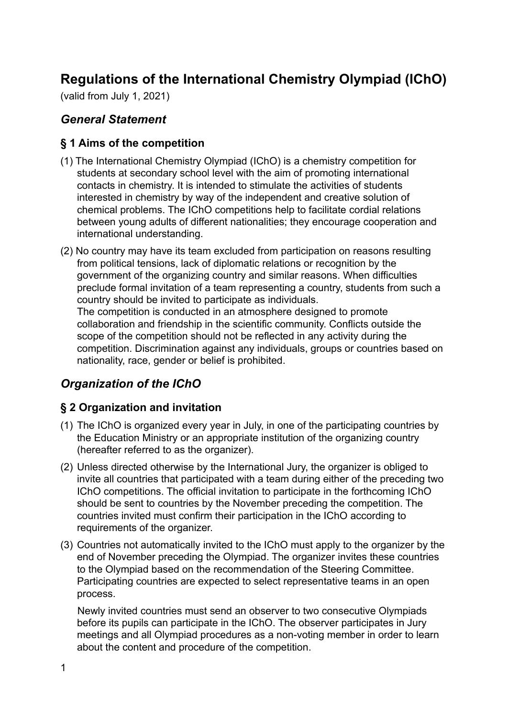# **Regulations of the International Chemistry Olympiad (IChO)**

(valid from July 1, 2021)

#### *General Statement*

#### **§ 1 Aims of the competition**

- (1) The International Chemistry Olympiad (IChO) is a chemistry competition for students at secondary school level with the aim of promoting international contacts in chemistry. It is intended to stimulate the activities of students interested in chemistry by way of the independent and creative solution of chemical problems. The IChO competitions help to facilitate cordial relations between young adults of different nationalities; they encourage cooperation and international understanding.
- (2) No country may have its team excluded from participation on reasons resulting from political tensions, lack of diplomatic relations or recognition by the government of the organizing country and similar reasons. When difficulties preclude formal invitation of a team representing a country, students from such a country should be invited to participate as individuals. The competition is conducted in an atmosphere designed to promote collaboration and friendship in the scientific community. Conflicts outside the

scope of the competition should not be reflected in any activity during the competition. Discrimination against any individuals, groups or countries based on nationality, race, gender or belief is prohibited.

## *Organization of the IChO*

#### **§ 2 Organization and invitation**

- (1) The IChO is organized every year in July, in one of the participating countries by the Education Ministry or an appropriate institution of the organizing country (hereafter referred to as the organizer).
- (2) Unless directed otherwise by the International Jury, the organizer is obliged to invite all countries that participated with a team during either of the preceding two IChO competitions. The official invitation to participate in the forthcoming IChO should be sent to countries by the November preceding the competition. The countries invited must confirm their participation in the IChO according to requirements of the organizer.
- (3) Countries not automatically invited to the IChO must apply to the organizer by the end of November preceding the Olympiad. The organizer invites these countries to the Olympiad based on the recommendation of the Steering Committee. Participating countries are expected to select representative teams in an open process.

Newly invited countries must send an observer to two consecutive Olympiads before its pupils can participate in the IChO. The observer participates in Jury meetings and all Olympiad procedures as a non-voting member in order to learn about the content and procedure of the competition.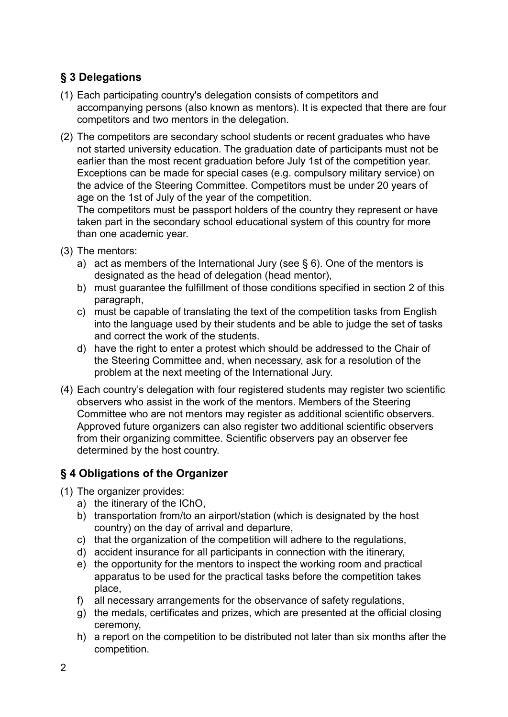# **§ 3 Delegations**

- (1) Each participating country's delegation consists of competitors and accompanying persons (also known as mentors). It is expected that there are four competitors and two mentors in the delegation.
- (2) The competitors are secondary school students or recent graduates who have not started university education. The graduation date of participants must not be earlier than the most recent graduation before July 1st of the competition year. Exceptions can be made for special cases (e.g. compulsory military service) on the advice of the Steering Committee. Competitors must be under 20 years of age on the 1st of July of the year of the competition.

The competitors must be passport holders of the country they represent or have taken part in the secondary school educational system of this country for more than one academic year.

- (3) The mentors:
	- a) act as members of the International Jury (see  $\S$  6). One of the mentors is designated as the head of delegation (head mentor),
	- b) must guarantee the fulfillment of those conditions specified in section 2 of this paragraph,
	- c) must be capable of translating the text of the competition tasks from English into the language used by their students and be able to judge the set of tasks and correct the work of the students.
	- d) have the right to enter a protest which should be addressed to the Chair of the Steering Committee and, when necessary, ask for a resolution of the problem at the next meeting of the International Jury.
- (4) Each country's delegation with four registered students may register two scientific observers who assist in the work of the mentors. Members of the Steering Committee who are not mentors may register as additional scientific observers. Approved future organizers can also register two additional scientific observers from their organizing committee. Scientific observers pay an observer fee determined by the host country.

## **§ 4 Obligations of the Organizer**

- (1) The organizer provides:
	- a) the itinerary of the IChO,
	- b) transportation from/to an airport/station (which is designated by the host country) on the day of arrival and departure,
	- c) that the organization of the competition will adhere to the regulations,
	- d) accident insurance for all participants in connection with the itinerary,
	- e) the opportunity for the mentors to inspect the working room and practical apparatus to be used for the practical tasks before the competition takes place,
	- f) all necessary arrangements for the observance of safety regulations,
	- g) the medals, certificates and prizes, which are presented at the official closing ceremony,
	- h) a report on the competition to be distributed not later than six months after the competition.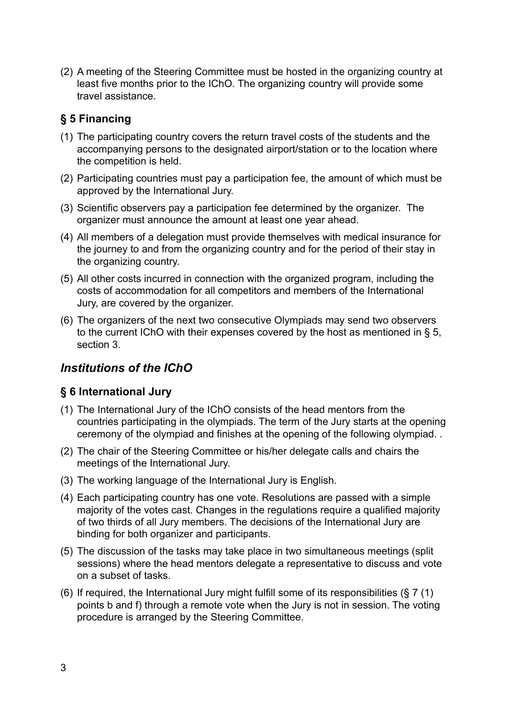(2) A meeting of the Steering Committee must be hosted in the organizing country at least five months prior to the IChO. The organizing country will provide some travel assistance.

# **§ 5 Financing**

- (1) The participating country covers the return travel costs of the students and the accompanying persons to the designated airport/station or to the location where the competition is held.
- (2) Participating countries must pay a participation fee, the amount of which must be approved by the International Jury.
- (3) Scientific observers pay a participation fee determined by the organizer. The organizer must announce the amount at least one year ahead.
- (4) All members of a delegation must provide themselves with medical insurance for the journey to and from the organizing country and for the period of their stay in the organizing country.
- (5) All other costs incurred in connection with the organized program, including the costs of accommodation for all competitors and members of the International Jury, are covered by the organizer.
- (6) The organizers of the next two consecutive Olympiads may send two observers to the current IChO with their expenses covered by the host as mentioned in § 5, section 3.

# *Institutions of the IChO*

## **§ 6 International Jury**

- (1) The International Jury of the IChO consists of the head mentors from the countries participating in the olympiads. The term of the Jury starts at the opening ceremony of the olympiad and finishes at the opening of the following olympiad. .
- (2) The chair of the Steering Committee or his/her delegate calls and chairs the meetings of the International Jury.
- (3) The working language of the International Jury is English.
- (4) Each participating country has one vote. Resolutions are passed with a simple majority of the votes cast. Changes in the regulations require a qualified majority of two thirds of all Jury members. The decisions of the International Jury are binding for both organizer and participants.
- (5) The discussion of the tasks may take place in two simultaneous meetings (split sessions) where the head mentors delegate a representative to discuss and vote on a subset of tasks.
- (6) If required, the International Jury might fulfill some of its responsibilities (§ 7 (1) points b and f) through a remote vote when the Jury is not in session. The voting procedure is arranged by the Steering Committee.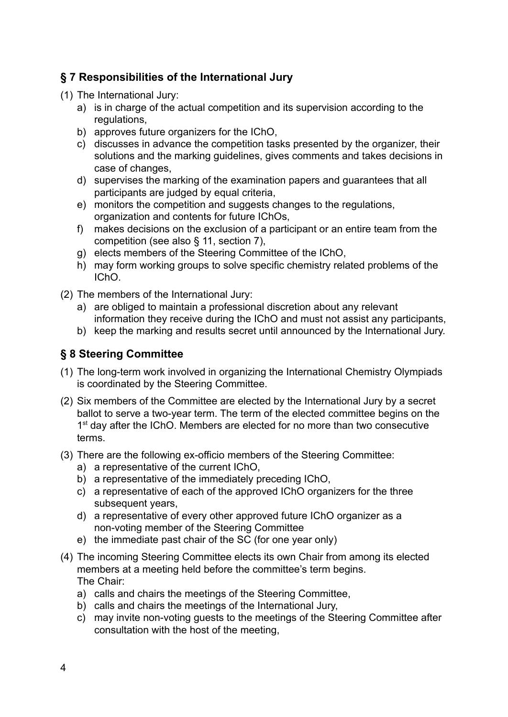## **§ 7 Responsibilities of the International Jury**

(1) The International Jury:

- a) is in charge of the actual competition and its supervision according to the regulations.
- b) approves future organizers for the IChO,
- c) discusses in advance the competition tasks presented by the organizer, their solutions and the marking guidelines, gives comments and takes decisions in case of changes,
- d) supervises the marking of the examination papers and guarantees that all participants are judged by equal criteria,
- e) monitors the competition and suggests changes to the regulations, organization and contents for future IChOs,
- f) makes decisions on the exclusion of a participant or an entire team from the competition (see also § 11, section 7),
- g) elects members of the Steering Committee of the IChO,
- h) may form working groups to solve specific chemistry related problems of the IChO.

(2) The members of the International Jury:

- a) are obliged to maintain a professional discretion about any relevant information they receive during the IChO and must not assist any participants,
- b) keep the marking and results secret until announced by the International Jury.

#### **§ 8 Steering Committee**

- (1) The long-term work involved in organizing the International Chemistry Olympiads is coordinated by the Steering Committee.
- (2) Six members of the Committee are elected by the International Jury by a secret ballot to serve a two-year term. The term of the elected committee begins on the 1<sup>st</sup> day after the IChO. Members are elected for no more than two consecutive terms.
- (3) There are the following ex-officio members of the Steering Committee:
	- a) a representative of the current IChO,
	- b) a representative of the immediately preceding IChO,
	- c) a representative of each of the approved IChO organizers for the three subsequent years,
	- d) a representative of every other approved future IChO organizer as a non-voting member of the Steering Committee
	- e) the immediate past chair of the SC (for one year only)
- (4) The incoming Steering Committee elects its own Chair from among its elected members at a meeting held before the committee's term begins. The Chair:
	- a) calls and chairs the meetings of the Steering Committee,
	- b) calls and chairs the meetings of the International Jury,
	- c) may invite non-voting guests to the meetings of the Steering Committee after consultation with the host of the meeting,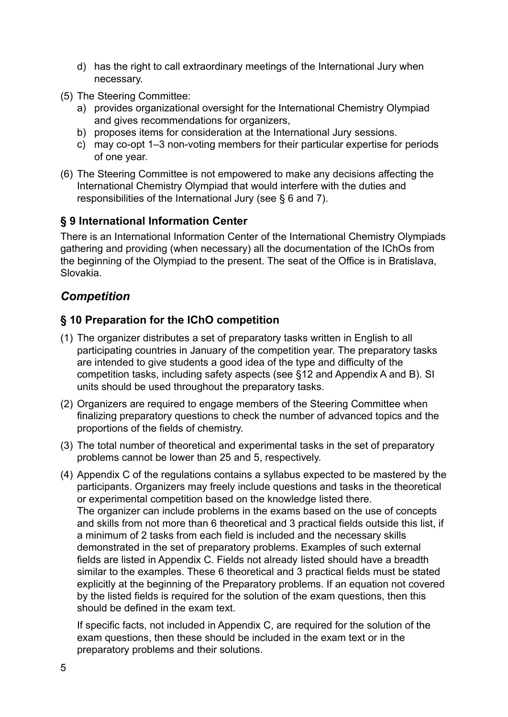- d) has the right to call extraordinary meetings of the International Jury when necessary.
- (5) The Steering Committee:
	- a) provides organizational oversight for the International Chemistry Olympiad and gives recommendations for organizers,
	- b) proposes items for consideration at the International Jury sessions.
	- c) may co-opt 1–3 non-voting members for their particular expertise for periods of one year.
- (6) The Steering Committee is not empowered to make any decisions affecting the International Chemistry Olympiad that would interfere with the duties and responsibilities of the International Jury (see § 6 and 7).

## **§ 9 International Information Center**

There is an International Information Center of the International Chemistry Olympiads gathering and providing (when necessary) all the documentation of the IChOs from the beginning of the Olympiad to the present. The seat of the Office is in Bratislava, Slovakia.

# *Competition*

## **§ 10 Preparation for the IChO competition**

- (1) The organizer distributes a set of preparatory tasks written in English to all participating countries in January of the competition year. The preparatory tasks are intended to give students a good idea of the type and difficulty of the competition tasks, including safety aspects (see §12 and Appendix A and B). SI units should be used throughout the preparatory tasks.
- (2) Organizers are required to engage members of the Steering Committee when finalizing preparatory questions to check the number of advanced topics and the proportions of the fields of chemistry.
- (3) The total number of theoretical and experimental tasks in the set of preparatory problems cannot be lower than 25 and 5, respectively.
- (4) Appendix C of the regulations contains a syllabus expected to be mastered by the participants. Organizers may freely include questions and tasks in the theoretical or experimental competition based on the knowledge listed there. The organizer can include problems in the exams based on the use of concepts and skills from not more than 6 theoretical and 3 practical fields outside this list, if a minimum of 2 tasks from each field is included and the necessary skills demonstrated in the set of preparatory problems. Examples of such external fields are listed in Appendix C. Fields not already listed should have a breadth similar to the examples. These 6 theoretical and 3 practical fields must be stated explicitly at the beginning of the Preparatory problems. If an equation not covered by the listed fields is required for the solution of the exam questions, then this should be defined in the exam text.

If specific facts, not included in Appendix C, are required for the solution of the exam questions, then these should be included in the exam text or in the preparatory problems and their solutions.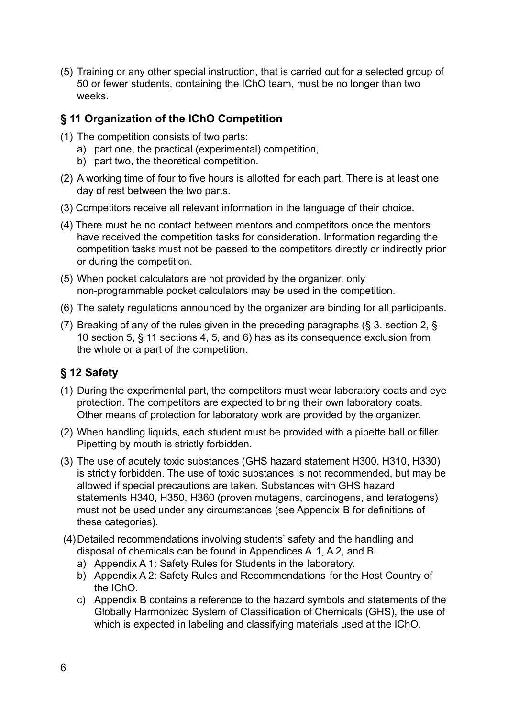(5) Training or any other special instruction, that is carried out for a selected group of 50 or fewer students, containing the IChO team, must be no longer than two weeks.

#### **§ 11 Organization of the IChO Competition**

- (1) The competition consists of two parts:
	- a) part one, the practical (experimental) competition,
	- b) part two, the theoretical competition.
- (2) A working time of four to five hours is allotted for each part. There is at least one day of rest between the two parts.
- (3) Competitors receive all relevant information in the language of their choice.
- (4) There must be no contact between mentors and competitors once the mentors have received the competition tasks for consideration. Information regarding the competition tasks must not be passed to the competitors directly or indirectly prior or during the competition.
- (5) When pocket calculators are not provided by the organizer, only non-programmable pocket calculators may be used in the competition.
- (6) The safety regulations announced by the organizer are binding for all participants.
- (7) Breaking of any of the rules given in the preceding paragraphs (§ 3. section 2, § 10 section 5, § 11 sections 4, 5, and 6) has as its consequence exclusion from the whole or a part of the competition.

# **§ 12 Safety**

- (1) During the experimental part, the competitors must wear laboratory coats and eye protection. The competitors are expected to bring their own laboratory coats. Other means of protection for laboratory work are provided by the organizer.
- (2) When handling liquids, each student must be provided with a pipette ball or filler. Pipetting by mouth is strictly forbidden.
- (3) The use of acutely toxic substances (GHS hazard statement H300, H310, H330) is strictly forbidden. The use of toxic substances is not recommended, but may be allowed if special precautions are taken. Substances with GHS hazard statements H340, H350, H360 (proven mutagens, carcinogens, and teratogens) must not be used under any circumstances (see Appendix B for definitions of these categories).
- (4)Detailed recommendations involving students' safety and the handling and disposal of chemicals can be found in Appendices A 1, A 2, and B.
	- a) Appendix A 1: Safety Rules for Students in the laboratory.
	- b) Appendix A 2: Safety Rules and Recommendations for the Host Country of the IChO.
	- c) Appendix B contains a reference to the hazard symbols and statements of the Globally Harmonized System of Classification of Chemicals (GHS), the use of which is expected in labeling and classifying materials used at the IChO.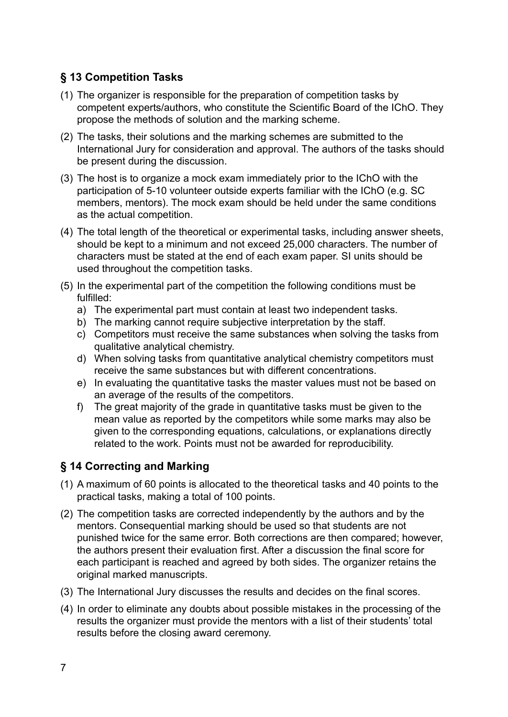# **§ 13 Competition Tasks**

- (1) The organizer is responsible for the preparation of competition tasks by competent experts/authors, who constitute the Scientific Board of the IChO. They propose the methods of solution and the marking scheme.
- (2) The tasks, their solutions and the marking schemes are submitted to the International Jury for consideration and approval. The authors of the tasks should be present during the discussion.
- (3) The host is to organize a mock exam immediately prior to the IChO with the participation of 5-10 volunteer outside experts familiar with the IChO (e.g. SC members, mentors). The mock exam should be held under the same conditions as the actual competition.
- (4) The total length of the theoretical or experimental tasks, including answer sheets, should be kept to a minimum and not exceed 25,000 characters. The number of characters must be stated at the end of each exam paper. SI units should be used throughout the competition tasks.
- (5) In the experimental part of the competition the following conditions must be fulfilled:
	- a) The experimental part must contain at least two independent tasks.
	- b) The marking cannot require subjective interpretation by the staff.
	- c) Competitors must receive the same substances when solving the tasks from qualitative analytical chemistry.
	- d) When solving tasks from quantitative analytical chemistry competitors must receive the same substances but with different concentrations.
	- e) In evaluating the quantitative tasks the master values must not be based on an average of the results of the competitors.
	- f) The great majority of the grade in quantitative tasks must be given to the mean value as reported by the competitors while some marks may also be given to the corresponding equations, calculations, or explanations directly related to the work. Points must not be awarded for reproducibility.

## **§ 14 Correcting and Marking**

- (1) A maximum of 60 points is allocated to the theoretical tasks and 40 points to the practical tasks, making a total of 100 points.
- (2) The competition tasks are corrected independently by the authors and by the mentors. Consequential marking should be used so that students are not punished twice for the same error. Both corrections are then compared; however, the authors present their evaluation first. After a discussion the final score for each participant is reached and agreed by both sides. The organizer retains the original marked manuscripts.
- (3) The International Jury discusses the results and decides on the final scores.
- (4) In order to eliminate any doubts about possible mistakes in the processing of the results the organizer must provide the mentors with a list of their students' total results before the closing award ceremony.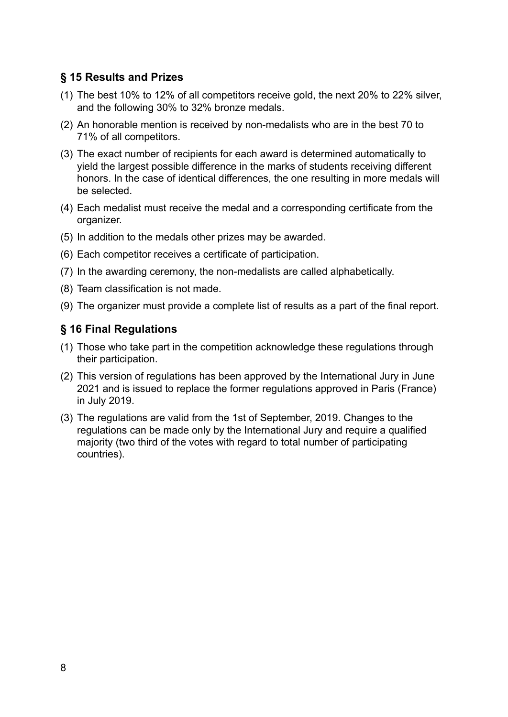## **§ 15 Results and Prizes**

- (1) The best 10% to 12% of all competitors receive gold, the next 20% to 22% silver, and the following 30% to 32% bronze medals.
- (2) An honorable mention is received by non-medalists who are in the best 70 to 71% of all competitors.
- (3) The exact number of recipients for each award is determined automatically to yield the largest possible difference in the marks of students receiving different honors. In the case of identical differences, the one resulting in more medals will be selected.
- (4) Each medalist must receive the medal and a corresponding certificate from the organizer.
- (5) In addition to the medals other prizes may be awarded.
- (6) Each competitor receives a certificate of participation.
- (7) In the awarding ceremony, the non-medalists are called alphabetically.
- (8) Team classification is not made.
- (9) The organizer must provide a complete list of results as a part of the final report.

#### **§ 16 Final Regulations**

- (1) Those who take part in the competition acknowledge these regulations through their participation.
- (2) This version of regulations has been approved by the International Jury in June 2021 and is issued to replace the former regulations approved in Paris (France) in July 2019.
- (3) The regulations are valid from the 1st of September, 2019. Changes to the regulations can be made only by the International Jury and require a qualified majority (two third of the votes with regard to total number of participating countries).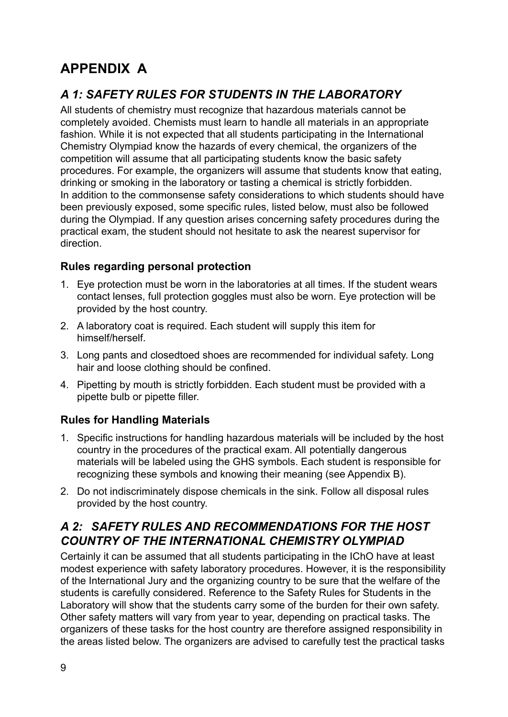# **APPENDIX A**

# *A 1: SAFETY RULES FOR STUDENTS IN THE LABORATORY*

All students of chemistry must recognize that hazardous materials cannot be completely avoided. Chemists must learn to handle all materials in an appropriate fashion. While it is not expected that all students participating in the International Chemistry Olympiad know the hazards of every chemical, the organizers of the competition will assume that all participating students know the basic safety procedures. For example, the organizers will assume that students know that eating, drinking or smoking in the laboratory or tasting a chemical is strictly forbidden. In addition to the commonsense safety considerations to which students should have been previously exposed, some specific rules, listed below, must also be followed during the Olympiad. If any question arises concerning safety procedures during the practical exam, the student should not hesitate to ask the nearest supervisor for direction.

#### **Rules regarding personal protection**

- 1. Eye protection must be worn in the laboratories at all times. If the student wears contact lenses, full protection goggles must also be worn. Eye protection will be provided by the host country.
- 2. A laboratory coat is required. Each student will supply this item for himself/herself.
- 3. Long pants and closedtoed shoes are recommended for individual safety. Long hair and loose clothing should be confined.
- 4. Pipetting by mouth is strictly forbidden. Each student must be provided with a pipette bulb or pipette filler.

#### **Rules for Handling Materials**

- 1. Specific instructions for handling hazardous materials will be included by the host country in the procedures of the practical exam. All potentially dangerous materials will be labeled using the GHS symbols. Each student is responsible for recognizing these symbols and knowing their meaning (see Appendix B).
- 2. Do not indiscriminately dispose chemicals in the sink. Follow all disposal rules provided by the host country.

## *A 2: SAFETY RULES AND RECOMMENDATIONS FOR THE HOST COUNTRY OF THE INTERNATIONAL CHEMISTRY OLYMPIAD*

Certainly it can be assumed that all students participating in the IChO have at least modest experience with safety laboratory procedures. However, it is the responsibility of the International Jury and the organizing country to be sure that the welfare of the students is carefully considered. Reference to the Safety Rules for Students in the Laboratory will show that the students carry some of the burden for their own safety. Other safety matters will vary from year to year, depending on practical tasks. The organizers of these tasks for the host country are therefore assigned responsibility in the areas listed below. The organizers are advised to carefully test the practical tasks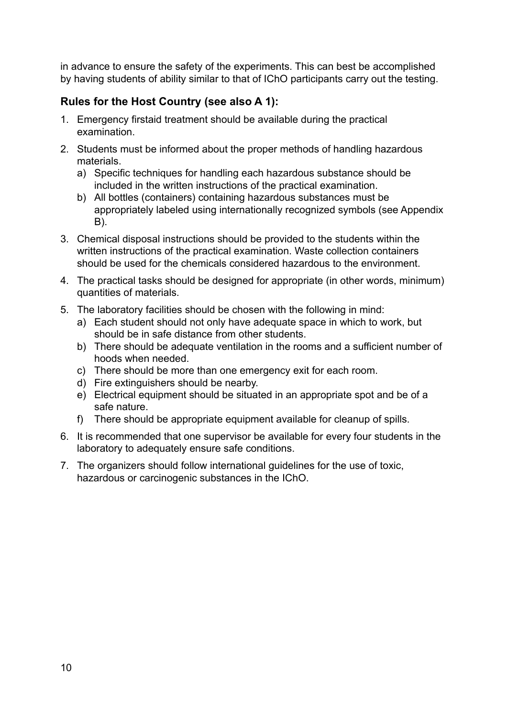in advance to ensure the safety of the experiments. This can best be accomplished by having students of ability similar to that of IChO participants carry out the testing.

## **Rules for the Host Country (see also A 1):**

- 1. Emergency firstaid treatment should be available during the practical examination.
- 2. Students must be informed about the proper methods of handling hazardous materials.
	- a) Specific techniques for handling each hazardous substance should be included in the written instructions of the practical examination.
	- b) All bottles (containers) containing hazardous substances must be appropriately labeled using internationally recognized symbols (see Appendix B).
- 3. Chemical disposal instructions should be provided to the students within the written instructions of the practical examination. Waste collection containers should be used for the chemicals considered hazardous to the environment.
- 4. The practical tasks should be designed for appropriate (in other words, minimum) quantities of materials.
- 5. The laboratory facilities should be chosen with the following in mind:
	- a) Each student should not only have adequate space in which to work, but should be in safe distance from other students.
	- b) There should be adequate ventilation in the rooms and a sufficient number of hoods when needed.
	- c) There should be more than one emergency exit for each room.
	- d) Fire extinguishers should be nearby.
	- e) Electrical equipment should be situated in an appropriate spot and be of a safe nature.
	- f) There should be appropriate equipment available for cleanup of spills.
- 6. It is recommended that one supervisor be available for every four students in the laboratory to adequately ensure safe conditions.
- 7. The organizers should follow international guidelines for the use of toxic, hazardous or carcinogenic substances in the IChO.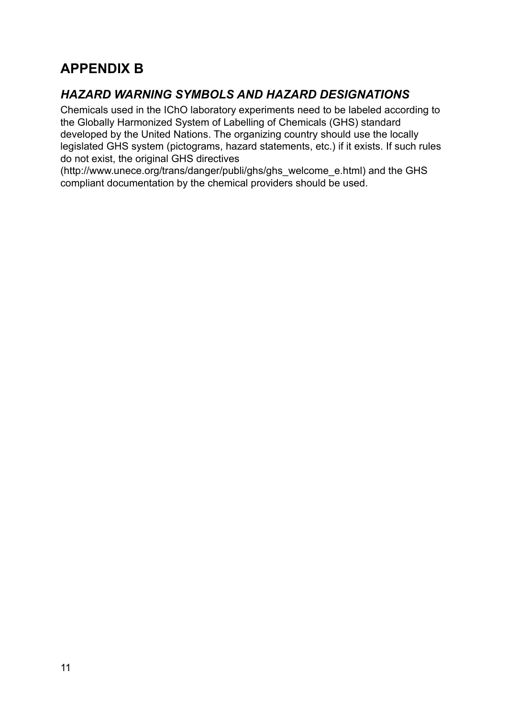# **APPENDIX B**

# *HAZARD WARNING SYMBOLS AND HAZARD DESIGNATIONS*

Chemicals used in the IChO laboratory experiments need to be labeled according to the Globally Harmonized System of Labelling of Chemicals (GHS) standard developed by the United Nations. The organizing country should use the locally legislated GHS system (pictograms, hazard statements, etc.) if it exists. If such rules do not exist, the original GHS directives

(http://www.unece.org/trans/danger/publi/ghs/ghs\_welcome\_e.html) and the GHS compliant documentation by the chemical providers should be used.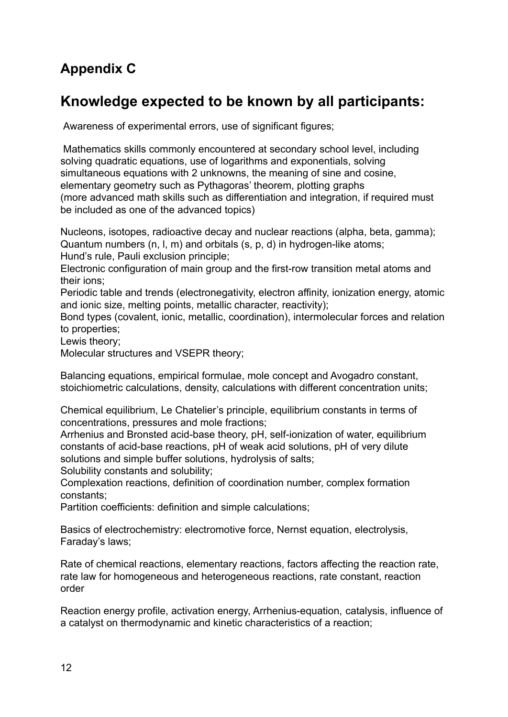# **Appendix C**

# **Knowledge expected to be known by all participants:**

Awareness of experimental errors, use of significant figures;

Mathematics skills commonly encountered at secondary school level, including solving quadratic equations, use of logarithms and exponentials, solving simultaneous equations with 2 unknowns, the meaning of sine and cosine, elementary geometry such as Pythagoras' theorem, plotting graphs (more advanced math skills such as differentiation and integration, if required must be included as one of the advanced topics)

Nucleons, isotopes, radioactive decay and nuclear reactions (alpha, beta, gamma); Quantum numbers (n, l, m) and orbitals (s, p, d) in hydrogen-like atoms; Hund's rule, Pauli exclusion principle;

Electronic configuration of main group and the first-row transition metal atoms and their ions;

Periodic table and trends (electronegativity, electron affinity, ionization energy, atomic and ionic size, melting points, metallic character, reactivity);

Bond types (covalent, ionic, metallic, coordination), intermolecular forces and relation to properties;

Lewis theory;

Molecular structures and VSEPR theory;

Balancing equations, empirical formulae, mole concept and Avogadro constant, stoichiometric calculations, density, calculations with different concentration units;

Chemical equilibrium, Le Chatelier's principle, equilibrium constants in terms of concentrations, pressures and mole fractions;

Arrhenius and Bronsted acid-base theory, pH, self-ionization of water, equilibrium constants of acid-base reactions, pH of weak acid solutions, pH of very dilute solutions and simple buffer solutions, hydrolysis of salts;

Solubility constants and solubility;

Complexation reactions, definition of coordination number, complex formation constants;

Partition coefficients: definition and simple calculations;

Basics of electrochemistry: electromotive force, Nernst equation, electrolysis, Faraday's laws;

Rate of chemical reactions, elementary reactions, factors affecting the reaction rate, rate law for homogeneous and heterogeneous reactions, rate constant, reaction order

Reaction energy profile, activation energy, Arrhenius-equation, catalysis, influence of a catalyst on thermodynamic and kinetic characteristics of a reaction;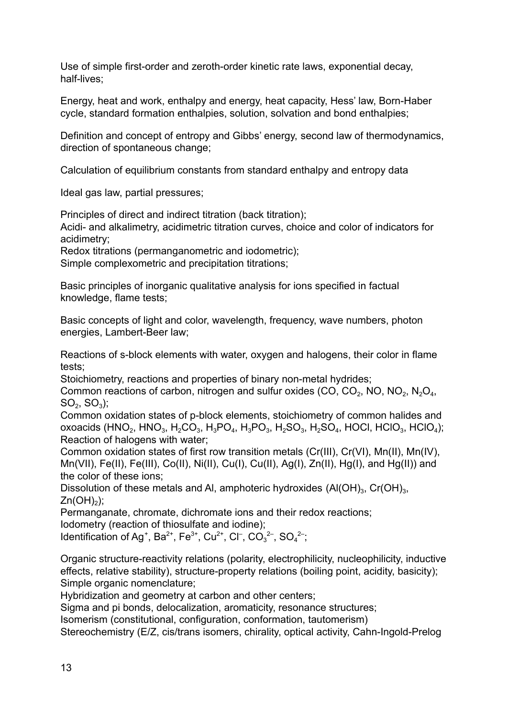Use of simple first-order and zeroth-order kinetic rate laws, exponential decay, half-lives;

Energy, heat and work, enthalpy and energy, heat capacity, Hess' law, Born-Haber cycle, standard formation enthalpies, solution, solvation and bond enthalpies;

Definition and concept of entropy and Gibbs' energy, second law of thermodynamics, direction of spontaneous change;

Calculation of equilibrium constants from standard enthalpy and entropy data

Ideal gas law, partial pressures;

Principles of direct and indirect titration (back titration);

Acidi- and alkalimetry, acidimetric titration curves, choice and color of indicators for acidimetry;

Redox titrations (permanganometric and iodometric);

Simple complexometric and precipitation titrations;

Basic principles of inorganic qualitative analysis for ions specified in factual knowledge, flame tests;

Basic concepts of light and color, wavelength, frequency, wave numbers, photon energies, Lambert-Beer law;

Reactions of s-block elements with water, oxygen and halogens, their color in flame tests;

Stoichiometry, reactions and properties of binary non-metal hydrides;

Common reactions of carbon, nitrogen and sulfur oxides (CO, CO<sub>2</sub>, NO, NO<sub>2</sub>, N<sub>2</sub>O<sub>4</sub>,  $SO_2$ ,  $SO_3$ );

Common oxidation states of p-block elements, stoichiometry of common halides and oxoacids (HNO<sub>2</sub>, HNO<sub>3</sub>, H<sub>2</sub>CO<sub>3</sub>, H<sub>3</sub>PO<sub>4</sub>, H<sub>3</sub>PO<sub>3</sub>, H<sub>2</sub>SO<sub>3</sub>, H<sub>2</sub>SO<sub>4</sub>, HOCl, HClO<sub>3</sub>, HClO<sub>4</sub>); Reaction of halogens with water;

Common oxidation states of first row transition metals (Cr(III), Cr(VI), Mn(II), Mn(IV), Mn(VII), Fe(II), Fe(III), Co(II), Ni(II), Cu(I), Cu(II), Ag(I), Zn(II), Hg(I), and Hg(II)) and the color of these ions;

Dissolution of these metals and Al, amphoteric hydroxides  $(AI(OH)<sub>3</sub>, Cr(OH)<sub>3</sub>,$  $Zn(OH)_2$ );

Permanganate, chromate, dichromate ions and their redox reactions;

Iodometry (reaction of thiosulfate and iodine);

Identification of Ag<sup>+</sup>, Ba<sup>2+</sup>, Fe<sup>3+</sup>, Cu<sup>2+</sup>, Cl<sup>-</sup>, CO<sub>3</sub><sup>2-</sup>, SO<sub>4</sub><sup>2-</sup>,

Organic structure-reactivity relations (polarity, electrophilicity, nucleophilicity, inductive effects, relative stability), structure-property relations (boiling point, acidity, basicity); Simple organic nomenclature;

Hybridization and geometry at carbon and other centers;

Sigma and pi bonds, delocalization, aromaticity, resonance structures;

Isomerism (constitutional, configuration, conformation, tautomerism)

Stereochemistry (E/Z, cis/trans isomers, chirality, optical activity, Cahn-Ingold-Prelog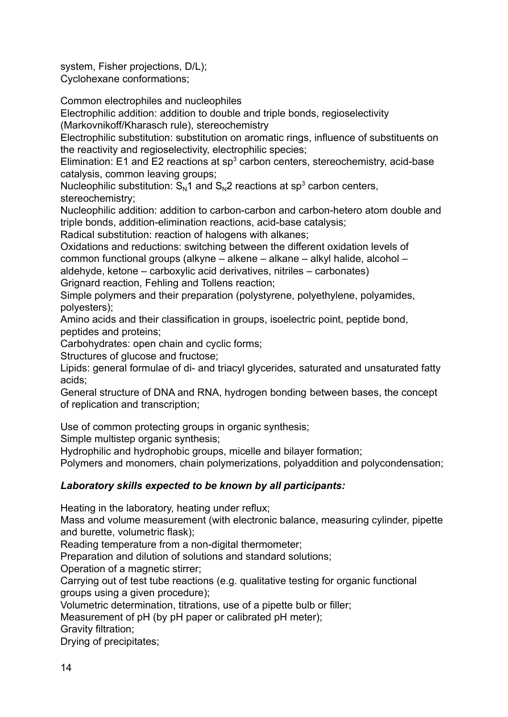system, Fisher projections, D/L); Cyclohexane conformations;

Common electrophiles and nucleophiles

Electrophilic addition: addition to double and triple bonds, regioselectivity

(Markovnikoff/Kharasch rule), stereochemistry

Electrophilic substitution: substitution on aromatic rings, influence of substituents on the reactivity and regioselectivity, electrophilic species;

Elimination: E1 and E2 reactions at  $sp<sup>3</sup>$  carbon centers, stereochemistry, acid-base catalysis, common leaving groups;

Nucleophilic substitution:  $S_N1$  and  $S_N2$  reactions at sp<sup>3</sup> carbon centers, stereochemistry;

Nucleophilic addition: addition to carbon-carbon and carbon-hetero atom double and triple bonds, addition-elimination reactions, acid-base catalysis;

Radical substitution: reaction of halogens with alkanes;

Oxidations and reductions: switching between the different oxidation levels of common functional groups (alkyne – alkene – alkane – alkyl halide, alcohol – aldehyde, ketone – carboxylic acid derivatives, nitriles – carbonates) Grignard reaction, Fehling and Tollens reaction;

Simple polymers and their preparation (polystyrene, polyethylene, polyamides, polyesters);

Amino acids and their classification in groups, isoelectric point, peptide bond, peptides and proteins;

Carbohydrates: open chain and cyclic forms;

Structures of glucose and fructose;

Lipids: general formulae of di- and triacyl glycerides, saturated and unsaturated fatty acids;

General structure of DNA and RNA, hydrogen bonding between bases, the concept of replication and transcription;

Use of common protecting groups in organic synthesis;

Simple multistep organic synthesis;

Hydrophilic and hydrophobic groups, micelle and bilayer formation;

Polymers and monomers, chain polymerizations, polyaddition and polycondensation;

#### *Laboratory skills expected to be known by all participants:*

Heating in the laboratory, heating under reflux;

Mass and volume measurement (with electronic balance, measuring cylinder, pipette and burette, volumetric flask);

Reading temperature from a non-digital thermometer;

Preparation and dilution of solutions and standard solutions;

Operation of a magnetic stirrer;

Carrying out of test tube reactions (e.g. qualitative testing for organic functional groups using a given procedure);

Volumetric determination, titrations, use of a pipette bulb or filler;

Measurement of pH (by pH paper or calibrated pH meter);

Gravity filtration;

Drying of precipitates;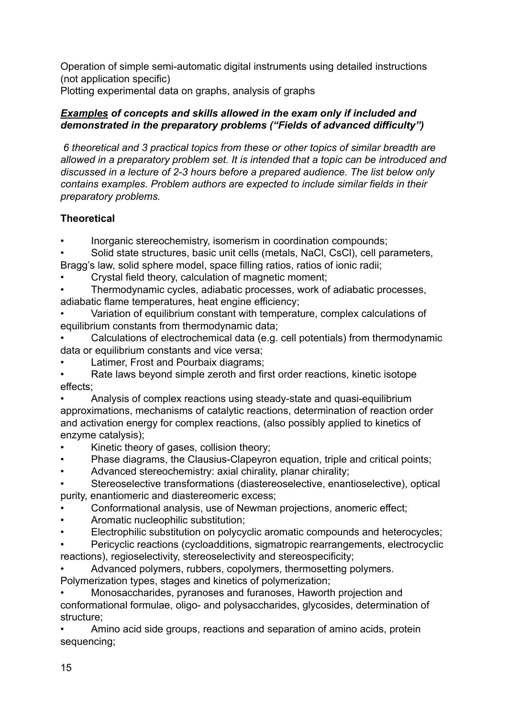Operation of simple semi-automatic digital instruments using detailed instructions (not application specific)

Plotting experimental data on graphs, analysis of graphs

#### *Examples of concepts and skills allowed in the exam only if included and demonstrated in the preparatory problems ("Fields of advanced difficulty")*

*6 theoretical and 3 practical topics from these or other topics of similar breadth are allowed in a preparatory problem set. It is intended that a topic can be introduced and discussed in a lecture of 2-3 hours before a prepared audience. The list below only contains examples. Problem authors are expected to include similar fields in their preparatory problems.*

## **Theoretical**

• Inorganic stereochemistry, isomerism in coordination compounds;

• Solid state structures, basic unit cells (metals, NaCl, CsCl), cell parameters, Bragg's law, solid sphere model, space filling ratios, ratios of ionic radii;

• Crystal field theory, calculation of magnetic moment;

• Thermodynamic cycles, adiabatic processes, work of adiabatic processes, adiabatic flame temperatures, heat engine efficiency;

- Variation of equilibrium constant with temperature, complex calculations of equilibrium constants from thermodynamic data;
- Calculations of electrochemical data (e.g. cell potentials) from thermodynamic data or equilibrium constants and vice versa;
- Latimer, Frost and Pourbaix diagrams;
- Rate laws beyond simple zeroth and first order reactions, kinetic isotope effects;

• Analysis of complex reactions using steady-state and quasi-equilibrium approximations, mechanisms of catalytic reactions, determination of reaction order and activation energy for complex reactions, (also possibly applied to kinetics of enzyme catalysis);

- Kinetic theory of gases, collision theory;
- Phase diagrams, the Clausius-Clapeyron equation, triple and critical points;
- Advanced stereochemistry: axial chirality, planar chirality;
- Stereoselective transformations (diastereoselective, enantioselective), optical purity, enantiomeric and diastereomeric excess;
- Conformational analysis, use of Newman projections, anomeric effect;
- Aromatic nucleophilic substitution;
- Electrophilic substitution on polycyclic aromatic compounds and heterocycles;

• Pericyclic reactions (cycloadditions, sigmatropic rearrangements, electrocyclic reactions), regioselectivity, stereoselectivity and stereospecificity;

• Advanced polymers, rubbers, copolymers, thermosetting polymers. Polymerization types, stages and kinetics of polymerization;

• Monosaccharides, pyranoses and furanoses, Haworth projection and conformational formulae, oligo- and polysaccharides, glycosides, determination of structure;

• Amino acid side groups, reactions and separation of amino acids, protein sequencing;